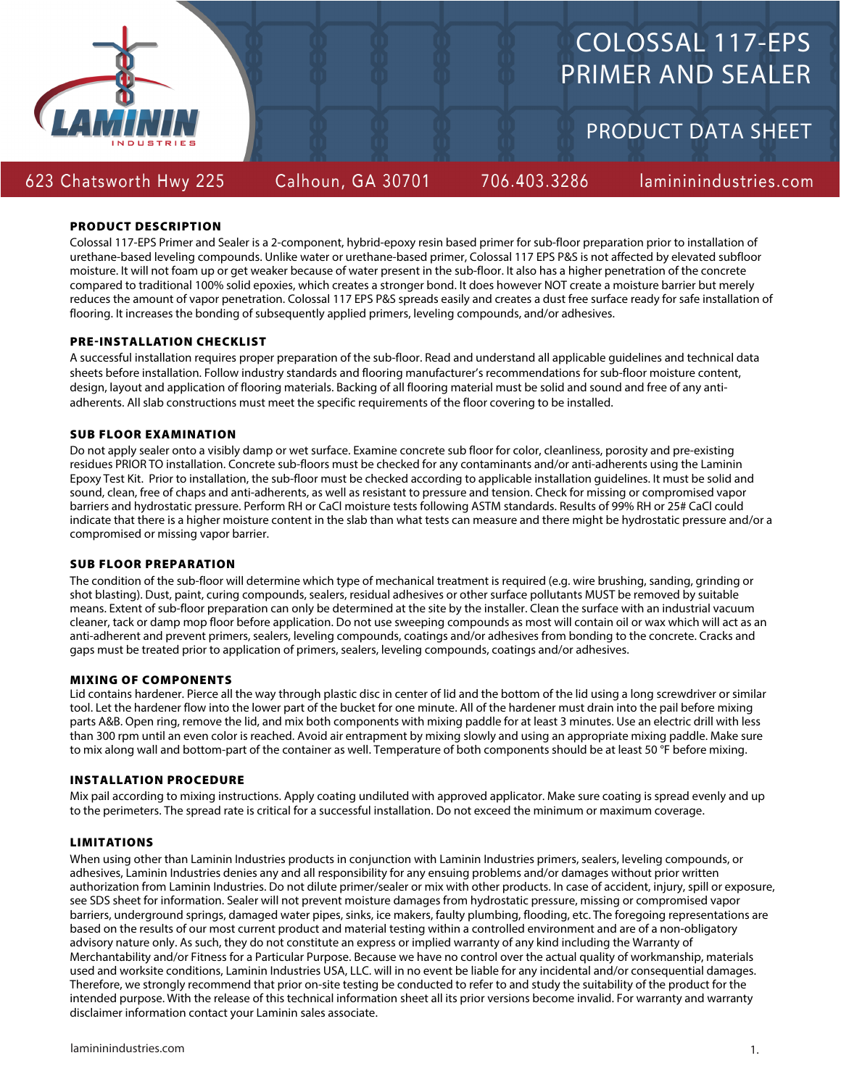

# COLOSSAL 117-EPS PRIMER AND SEALER

PRODUCT DATA SHEET

# 623 Chatsworth Hwy 225

Calhoun, GA 30701

706.403.3286

lamininindustries.com

# PRODUCT DESCRIPTION

Colossal 117-EPS Primer and Sealer is a 2-component, hybrid-epoxy resin based primer for sub-floor preparation prior to installation of urethane-based leveling compounds. Unlike water or urethane-based primer, Colossal 117 EPS P&S is not affected by elevated subfloor moisture. It will not foam up or get weaker because of water present in the sub-floor. It also has a higher penetration of the concrete compared to traditional 100% solid epoxies, which creates a stronger bond. It does however NOT create a moisture barrier but merely reduces the amount of vapor penetration. Colossal 117 EPS P&S spreads easily and creates a dust free surface ready for safe installation of flooring. It increases the bonding of subsequently applied primers, leveling compounds, and/or adhesives.

# PRE-INSTALLATION CHECKLIST

A successful installation requires proper preparation of the sub-floor. Read and understand all applicable guidelines and technical data sheets before installation. Follow industry standards and flooring manufacturer's recommendations for sub-floor moisture content, design, layout and application of flooring materials. Backing of all flooring material must be solid and sound and free of any antiadherents. All slab constructions must meet the specific requirements of the floor covering to be installed.

# SUB FLOOR EXAMINATION

Do not apply sealer onto a visibly damp or wet surface. Examine concrete sub floor for color, cleanliness, porosity and pre-existing residues PRIOR TO installation. Concrete sub-floors must be checked for any contaminants and/or anti-adherents using the Laminin Epoxy Test Kit. Prior to installation, the sub-floor must be checked according to applicable installation guidelines. It must be solid and sound, clean, free of chaps and anti-adherents, as well as resistant to pressure and tension. Check for missing or compromised vapor barriers and hydrostatic pressure. Perform RH or CaCl moisture tests following ASTM standards. Results of 99% RH or 25# CaCl could indicate that there is a higher moisture content in the slab than what tests can measure and there might be hydrostatic pressure and/or a compromised or missing vapor barrier.

### SUB FLOOR PREPARATION

The condition of the sub-floor will determine which type of mechanical treatment is required (e.g. wire brushing, sanding, grinding or shot blasting). Dust, paint, curing compounds, sealers, residual adhesives or other surface pollutants MUST be removed by suitable means. Extent of sub-floor preparation can only be determined at the site by the installer. Clean the surface with an industrial vacuum cleaner, tack or damp mop floor before application. Do not use sweeping compounds as most will contain oil or wax which will act as an anti-adherent and prevent primers, sealers, leveling compounds, coatings and/or adhesives from bonding to the concrete. Cracks and gaps must be treated prior to application of primers, sealers, leveling compounds, coatings and/or adhesives.

### MIXING OF COMPONENTS

Lid contains hardener. Pierce all the way through plastic disc in center of lid and the bottom of the lid using a long screwdriver or similar tool. Let the hardener flow into the lower part of the bucket for one minute. All of the hardener must drain into the pail before mixing parts A&B. Open ring, remove the lid, and mix both components with mixing paddle for at least 3 minutes. Use an electric drill with less than 300 rpm until an even color is reached. Avoid air entrapment by mixing slowly and using an appropriate mixing paddle. Make sure to mix along wall and bottom-part of the container as well. Temperature of both components should be at least 50 °F before mixing.

### INSTALLATION PROCEDURE

Mix pail according to mixing instructions. Apply coating undiluted with approved applicator. Make sure coating is spread evenly and up to the perimeters. The spread rate is critical for a successful installation. Do not exceed the minimum or maximum coverage.

### LIMITATIONS

When using other than Laminin Industries products in conjunction with Laminin Industries primers, sealers, leveling compounds, or adhesives, Laminin Industries denies any and all responsibility for any ensuing problems and/or damages without prior written authorization from Laminin Industries. Do not dilute primer/sealer or mix with other products. In case of accident, injury, spill or exposure, see SDS sheet for information. Sealer will not prevent moisture damages from hydrostatic pressure, missing or compromised vapor barriers, underground springs, damaged water pipes, sinks, ice makers, faulty plumbing, flooding, etc. The foregoing representations are based on the results of our most current product and material testing within a controlled environment and are of a non-obligatory advisory nature only. As such, they do not constitute an express or implied warranty of any kind including the Warranty of Merchantability and/or Fitness for a Particular Purpose. Because we have no control over the actual quality of workmanship, materials used and worksite conditions, Laminin Industries USA, LLC. will in no event be liable for any incidental and/or consequential damages. Therefore, we strongly recommend that prior on-site testing be conducted to refer to and study the suitability of the product for the intended purpose. With the release of this technical information sheet all its prior versions become invalid. For warranty and warranty disclaimer information contact your Laminin sales associate.